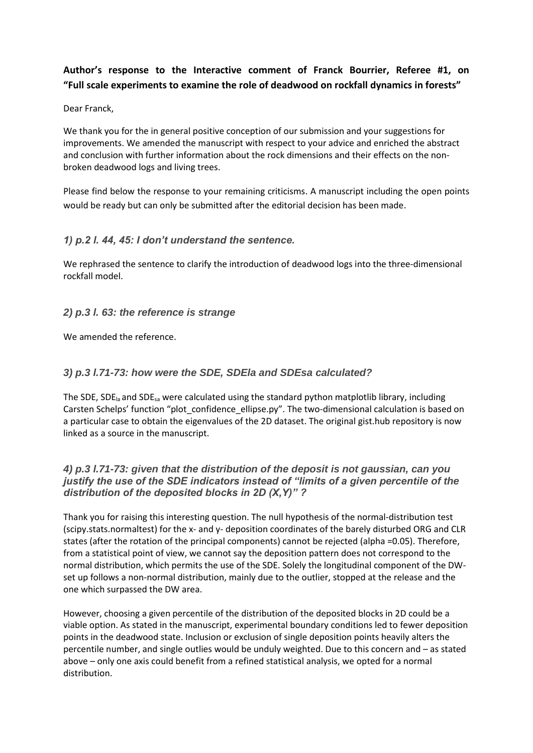# **Author's response to the Interactive comment of Franck Bourrier, Referee #1, on "Full scale experiments to examine the role of deadwood on rockfall dynamics in forests"**

Dear Franck,

We thank you for the in general positive conception of our submission and your suggestions for improvements. We amended the manuscript with respect to your advice and enriched the abstract and conclusion with further information about the rock dimensions and their effects on the nonbroken deadwood logs and living trees.

Please find below the response to your remaining criticisms. A manuscript including the open points would be ready but can only be submitted after the editorial decision has been made.

## *1) p.2 l. 44, 45: I don't understand the sentence.*

We rephrased the sentence to clarify the introduction of deadwood logs into the three-dimensional rockfall model.

#### *2) p.3 l. 63: the reference is strange*

We amended the reference.

### *3) p.3 l.71-73: how were the SDE, SDEla and SDEsa calculated?*

The SDE, SDE<sub>la</sub> and SDE<sub>sa</sub> were calculated using the standard python matplotlib library, including Carsten Schelps' function "plot confidence ellipse.py". The two-dimensional calculation is based on a particular case to obtain the eigenvalues of the 2D dataset. The original gist.hub repository is now linked as a source in the manuscript.

### *4) p.3 l.71-73: given that the distribution of the deposit is not gaussian, can you justify the use of the SDE indicators instead of "limits of a given percentile of the distribution of the deposited blocks in 2D (X,Y)" ?*

Thank you for raising this interesting question. The null hypothesis of the normal-distribution test (scipy.stats.normaltest) for the x- and y- deposition coordinates of the barely disturbed ORG and CLR states (after the rotation of the principal components) cannot be rejected (alpha =0.05). Therefore, from a statistical point of view, we cannot say the deposition pattern does not correspond to the normal distribution, which permits the use of the SDE. Solely the longitudinal component of the DWset up follows a non-normal distribution, mainly due to the outlier, stopped at the release and the one which surpassed the DW area.

However, choosing a given percentile of the distribution of the deposited blocks in 2D could be a viable option. As stated in the manuscript, experimental boundary conditions led to fewer deposition points in the deadwood state. Inclusion or exclusion of single deposition points heavily alters the percentile number, and single outlies would be unduly weighted. Due to this concern and – as stated above – only one axis could benefit from a refined statistical analysis, we opted for a normal distribution.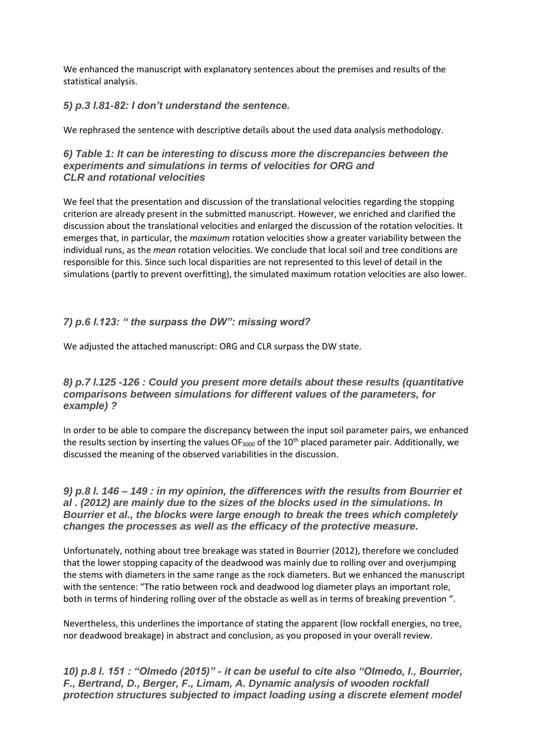We enhanced the manuscript with explanatory sentences about the premises and results of the statistical analysis.

#### *5) p.3 l.81-82: I don't understand the sentence.*

We rephrased the sentence with descriptive details about the used data analysis methodology.

### *6) Table 1: It can be interesting to discuss more the discrepancies between the experiments and simulations in terms of velocities for ORG and CLR and rotational velocities*

We feel that the presentation and discussion of the translational velocities regarding the stopping criterion are already present in the submitted manuscript. However, we enriched and clarified the discussion about the translational velocities and enlarged the discussion of the rotation velocities. It emerges that, in particular, the *maximum* rotation velocities show a greater variability between the individual runs, as the *mean* rotation velocities. We conclude that local soil and tree conditions are responsible for this. Since such local disparities are not represented to this level of detail in the simulations (partly to prevent overfitting), the simulated maximum rotation velocities are also lower.

### *7) p.6 l.123: " the surpass the DW": missing word?*

We adjusted the attached manuscript: ORG and CLR surpass the DW state.

### *8) p.7 l.125 -126 : Could you present more details about these results (quantitative comparisons between simulations for different values of the parameters, for example) ?*

In order to be able to compare the discrepancy between the input soil parameter pairs, we enhanced the results section by inserting the values OF<sub>3000</sub> of the 10<sup>th</sup> placed parameter pair. Additionally, we discussed the meaning of the observed variabilities in the discussion.

*9) p.8 l. 146 – 149 : in my opinion, the differences with the results from Bourrier et al . (2012) are mainly due to the sizes of the blocks used in the simulations. In Bourrier et al., the blocks were large enough to break the trees which completely changes the processes as well as the efficacy of the protective measure.*

Unfortunately, nothing about tree breakage was stated in Bourrier (2012), therefore we concluded that the lower stopping capacity of the deadwood was mainly due to rolling over and overjumping the stems with diameters in the same range as the rock diameters. But we enhanced the manuscript with the sentence: "The ratio between rock and deadwood log diameter plays an important role, both in terms of hindering rolling over of the obstacle as well as in terms of breaking prevention ".

Nevertheless, this underlines the importance of stating the apparent (low rockfall energies, no tree, nor deadwood breakage) in abstract and conclusion, as you proposed in your overall review.

*10) p.8 l. 151 : "Olmedo (2015)" - it can be useful to cite also "Olmedo, I., Bourrier, F., Bertrand, D., Berger, F., Limam, A. Dynamic analysis of wooden rockfall protection structures subjected to impact loading using a discrete element model*